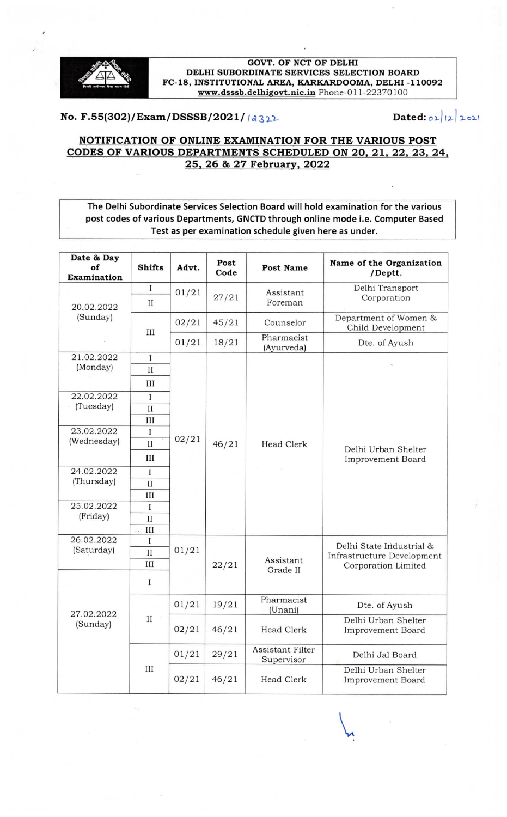

#### **GOVT. OF NCT OF DELHI** DELHI SUBORDINATE SERVICES SELECTION BOARD FC-18, INSTITUTIONAL AREA, KARKARDOOMA, DELHI -110092 www.dsssb.delhigovt.nic.in Phone-011-22370100

# No. F.55(302)/Exam/DSSSB/2021/  $|3322$  Dated:  $|2|221$

### NOTIFICATION OF ONLINE EXAMINATION FOR THE VARIOUS POST CODES OF VARIOUS DEPARTMENTS SCHEDULED ON 20, 21, 22, 23, 24, 25. 26 & 27 Februarv. 2022

The Delhi Subordinate Services Selection Board will hold examination for the various post codes of various Departments, GNCTD through online mode i.e. Computer Based Test as per examination schedule given here as under.

| Date & Day                                                                                                             |                           |       |              |                                |                                                                               |
|------------------------------------------------------------------------------------------------------------------------|---------------------------|-------|--------------|--------------------------------|-------------------------------------------------------------------------------|
| of                                                                                                                     | <b>Shifts</b>             | Advt. | Post<br>Code | Post Name                      | Name of the Organization<br>/Deptt.                                           |
| Examination                                                                                                            |                           |       |              |                                |                                                                               |
| 20.02.2022<br>(Sunday)                                                                                                 | $\rm I$                   | 01/21 | 27/21        | Assistant<br>Foreman           | Delhi Transport<br>Corporation                                                |
|                                                                                                                        | $_{II}$                   |       |              |                                |                                                                               |
|                                                                                                                        | Ш                         | 02/21 | 45/21        | Counselor                      | Department of Women &<br>Child Development                                    |
|                                                                                                                        |                           | 01/21 | 18/21        | Pharmacist<br>(Ayurveda)       | Dte. of Ayush                                                                 |
| 21.02.2022                                                                                                             | I                         |       |              |                                |                                                                               |
| (Monday)<br>22.02.2022<br>(Tuesday)<br>23.02.2022<br>(Wednesday)<br>24.02.2022<br>(Thursday)<br>25.02.2022<br>(Friday) | $\mathbf{I}$              | 02/21 | 46/21        | <b>Head Clerk</b>              | Delhi Urban Shelter<br>Improvement Board                                      |
|                                                                                                                        | III                       |       |              |                                |                                                                               |
|                                                                                                                        | I                         |       |              |                                |                                                                               |
|                                                                                                                        | $\mathbf{I}$              |       |              |                                |                                                                               |
|                                                                                                                        | Ш                         |       |              |                                |                                                                               |
|                                                                                                                        | I                         |       |              |                                |                                                                               |
|                                                                                                                        | $\mathbf{I}$              |       |              |                                |                                                                               |
|                                                                                                                        | Ш                         |       |              |                                |                                                                               |
|                                                                                                                        | $\bf{I}$                  |       |              |                                |                                                                               |
|                                                                                                                        | $_{II}$                   |       |              |                                |                                                                               |
|                                                                                                                        | III                       |       |              |                                |                                                                               |
|                                                                                                                        | I                         |       |              |                                |                                                                               |
|                                                                                                                        | $\mathbf{II}$             |       |              |                                |                                                                               |
|                                                                                                                        | III<br>$\tilde{\sigma}$ . |       |              |                                |                                                                               |
| 26.02.2022<br>(Saturday)                                                                                               | Ι                         | 01/21 | 22/21        | Assistant<br>Grade II          | Delhi State Industrial &<br>Infrastructure Development<br>Corporation Limited |
|                                                                                                                        | $\rm II$                  |       |              |                                |                                                                               |
|                                                                                                                        | III                       |       |              |                                |                                                                               |
|                                                                                                                        | Ι                         |       |              |                                |                                                                               |
| 27.02.2022<br>(Sunday)                                                                                                 | $_{II}$                   | 01/21 | 19/21        | Pharmacist<br>(Unani)          | Dte. of Ayush                                                                 |
|                                                                                                                        |                           | 02/21 | 46/21        | Head Clerk                     | Delhi Urban Shelter<br>Improvement Board                                      |
|                                                                                                                        | Ш                         | 01/21 | 29/21        | Assistant Filter<br>Supervisor | Delhi Jal Board                                                               |
|                                                                                                                        |                           | 02/21 | 46/21        | <b>Head Clerk</b>              | Delhi Urban Shelter<br>Improvement Board                                      |